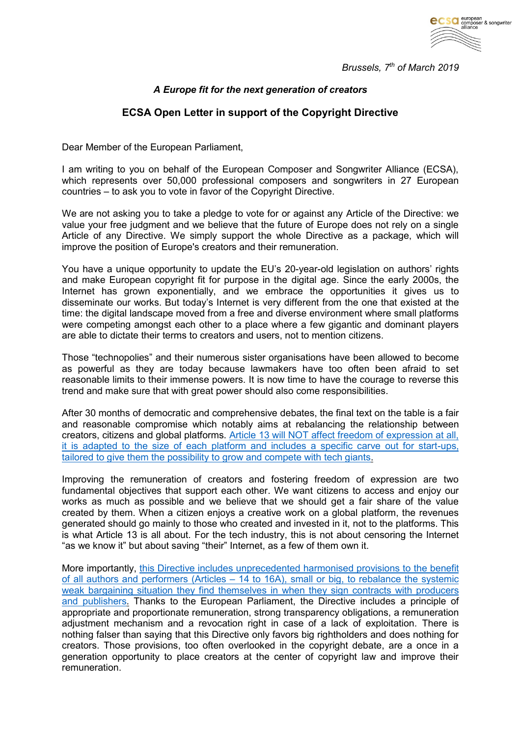

*Brussels, 7th of March 2019*

## *A Europe fit for the next generation of creators*

## **ECSA Open Letter in support of the Copyright Directive**

Dear Member of the European Parliament,

I am writing to you on behalf of the European Composer and Songwriter Alliance (ECSA), which represents over 50,000 professional composers and songwriters in 27 European countries – to ask you to vote in favor of the Copyright Directive.

We are not asking you to take a pledge to vote for or against any Article of the Directive: we value your free judgment and we believe that the future of Europe does not rely on a single Article of any Directive. We simply support the whole Directive as a package, which will improve the position of Europe's creators and their remuneration.

You have a unique opportunity to update the EU's 20-year-old legislation on authors' rights and make European copyright fit for purpose in the digital age. Since the early 2000s, the Internet has grown exponentially, and we embrace the opportunities it gives us to disseminate our works. But today's Internet is very different from the one that existed at the time: the digital landscape moved from a free and diverse environment where small platforms were competing amongst each other to a place where a few gigantic and dominant players are able to dictate their terms to creators and users, not to mention citizens.

Those "technopolies" and their numerous sister organisations have been allowed to become as powerful as they are today because lawmakers have too often been afraid to set reasonable limits to their immense powers. It is now time to have the courage to reverse this trend and make sure that with great power should also come responsibilities.

After 30 months of democratic and comprehensive debates, the final text on the table is a fair and reasonable compromise which notably aims at rebalancing the relationship between creators, citizens and global platforms. [Article 13 will NOT affect freedom of expression at all,](http://composeralliance.org/wp-content/uploads/2019/03/Myth-busters.-ECSA_7.3-2.pdf)  [it is adapted to the size of each platform and includes a specific carve out for start-ups,](http://composeralliance.org/wp-content/uploads/2019/03/Myth-busters.-ECSA_7.3-2.pdf)  [tailored to give them the possibility to grow and compete with tech giants.](http://composeralliance.org/wp-content/uploads/2019/03/Myth-busters.-ECSA_7.3-2.pdf)

Improving the remuneration of creators and fostering freedom of expression are two fundamental objectives that support each other. We want citizens to access and enjoy our works as much as possible and we believe that we should get a fair share of the value created by them. When a citizen enjoys a creative work on a global platform, the revenues generated should go mainly to those who created and invested in it, not to the platforms. This is what Article 13 is all about. For the tech industry, this is not about censoring the Internet "as we know it" but about saving "their" Internet, as a few of them own it.

More importantly, [this Directive includes unprecedented](http://composeralliance.org/wp-content/uploads/2019/03/Myth-busters.-ECSA_7.3-1.pdf) harmonised provisions to the benefit of all authors and performers (Articles – [14 to 16A\), small or big, to rebalance the systemic](http://composeralliance.org/wp-content/uploads/2019/03/Myth-busters.-ECSA_7.3-1.pdf)  weak bargaining situation they find themselves in when they sign contracts with producers [and publishers.](http://composeralliance.org/wp-content/uploads/2019/03/Myth-busters.-ECSA_7.3-1.pdf) Thanks to the European Parliament, the Directive includes a principle of appropriate and proportionate remuneration, strong transparency obligations, a remuneration adjustment mechanism and a revocation right in case of a lack of exploitation. There is nothing falser than saying that this Directive only favors big rightholders and does nothing for creators. Those provisions, too often overlooked in the copyright debate, are a once in a generation opportunity to place creators at the center of copyright law and improve their remuneration.